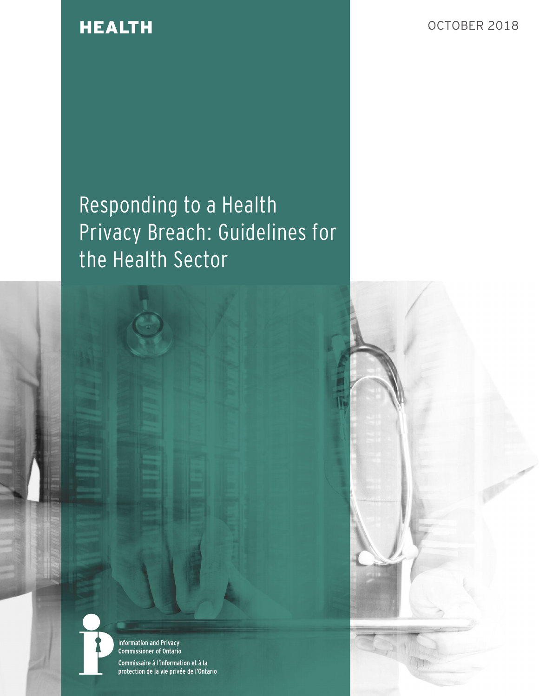HEALTH OCTOBER 2018

# Responding to a Health Privacy Breach: Guidelines for the Health Sector



**Information and Privacy** Commissioner of Ontario Commissaire à l'information et à la protection de la vie privée de l'Ontario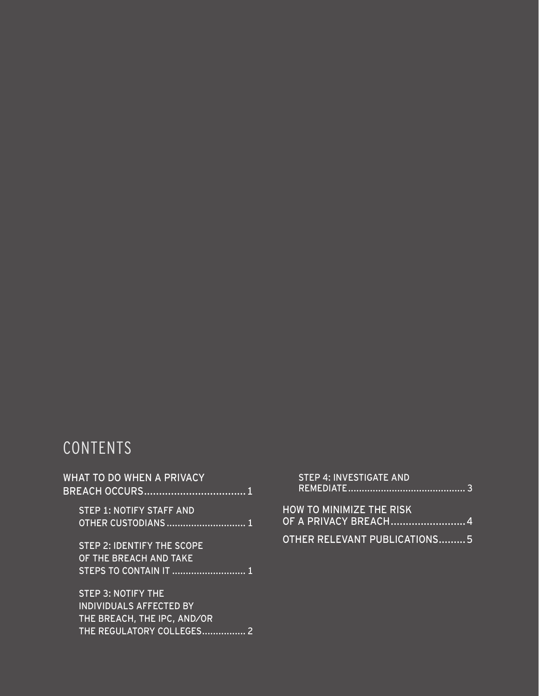# CONTENTS

| <b>WHAT TO DO WHEN A PRIVACY</b>                                                      |  |
|---------------------------------------------------------------------------------------|--|
| <b>STEP 1: NOTIFY STAFF AND</b><br>OTHER CUSTODIANS 1                                 |  |
| <b>STEP 2: IDENTIFY THE SCOPE</b><br>OF THE BREACH AND TAKE<br>STEPS TO CONTAIN IT  1 |  |
| <b>STEP 3: NOTIFY THE</b><br>INDIVIDUALS AFFECTED BY<br>THE BREACH, THE IPC, AND/OR   |  |
| THE REGULATORY COLLEGES                                                               |  |

|       | . STEP 4: INVESTIGATE AND |  |  |
|-------|---------------------------|--|--|
|       |                           |  |  |
|       |                           |  |  |
| _____ | ____________________      |  |  |

| HOW TO MINIMIZE THE RISK     |  |
|------------------------------|--|
| OF A PRIVACY BREACH4         |  |
|                              |  |
| OTHER RELEVANT PUBLICATIONS5 |  |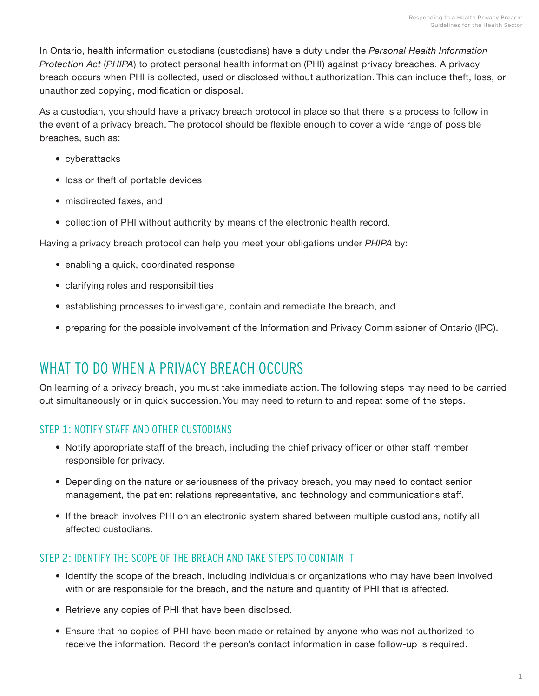<span id="page-4-0"></span>In Ontario, health information custodians (custodians) have a duty under the *Personal Health Information Protection Act* (*PHIPA*) to protect personal health information (PHI) against privacy breaches. A privacy breach occurs when PHI is collected, used or disclosed without authorization. This can include theft, loss, or unauthorized copying, modification or disposal.

As a custodian, you should have a privacy breach protocol in place so that there is a process to follow in the event of a privacy breach. The protocol should be flexible enough to cover a wide range of possible breaches, such as:

- cyberattacks
- loss or theft of portable devices
- misdirected faxes, and
- collection of PHI without authority by means of the electronic health record.

Having a privacy breach protocol can help you meet your obligations under *PHIPA* by:

- enabling a quick, coordinated response
- clarifying roles and responsibilities
- establishing processes to investigate, contain and remediate the breach, and
- preparing for the possible involvement of the Information and Privacy Commissioner of Ontario (IPC).

### WHAT TO DO WHEN A PRIVACY BREACH OCCURS

On learning of a privacy breach, you must take immediate action. The following steps may need to be carried out simultaneously or in quick succession. You may need to return to and repeat some of the steps.

#### STEP 1: NOTIFY STAFF AND OTHER CUSTODIANS

- Notify appropriate staff of the breach, including the chief privacy officer or other staff member responsible for privacy.
- Depending on the nature or seriousness of the privacy breach, you may need to contact senior management, the patient relations representative, and technology and communications staff.
- If the breach involves PHI on an electronic system shared between multiple custodians, notify all affected custodians.

#### STEP 2: IDENTIFY THE SCOPE OF THE BREACH AND TAKE STEPS TO CONTAIN IT

- Identify the scope of the breach, including individuals or organizations who may have been involved with or are responsible for the breach, and the nature and quantity of PHI that is affected.
- Retrieve any copies of PHI that have been disclosed.
- Ensure that no copies of PHI have been made or retained by anyone who was not authorized to receive the information. Record the person's contact information in case follow-up is required.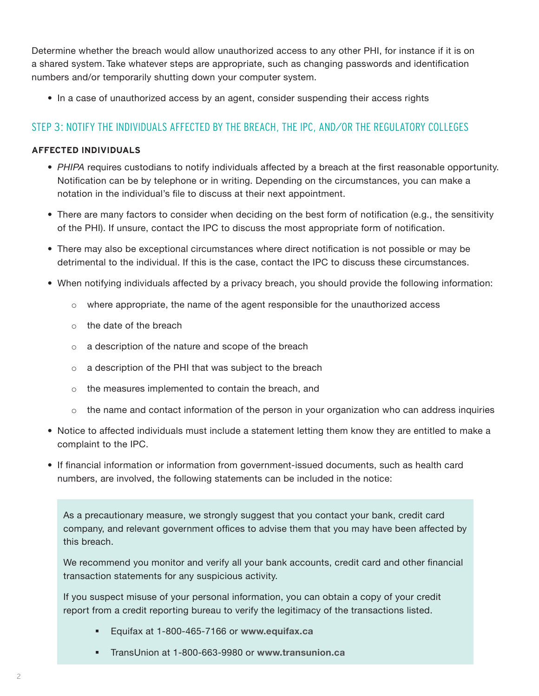<span id="page-5-0"></span>Determine whether the breach would allow unauthorized access to any other PHI, for instance if it is on a shared system. Take whatever steps are appropriate, such as changing passwords and identification numbers and/or temporarily shutting down your computer system.

• In a case of unauthorized access by an agent, consider suspending their access rights

#### STEP 3: NOTIFY THE INDIVIDUALS AFFECTED BY THE BREACH, THE IPC, AND/OR THE REGULATORY COLLEGES

#### **AFFECTED INDIVIDUALS**

- *PHIPA* requires custodians to notify individuals affected by a breach at the first reasonable opportunity. Notification can be by telephone or in writing. Depending on the circumstances, you can make a notation in the individual's file to discuss at their next appointment.
- There are many factors to consider when deciding on the best form of notification (e.g., the sensitivity of the PHI). If unsure, contact the IPC to discuss the most appropriate form of notification.
- There may also be exceptional circumstances where direct notification is not possible or may be detrimental to the individual. If this is the case, contact the IPC to discuss these circumstances.
- When notifying individuals affected by a privacy breach, you should provide the following information:
	- o where appropriate, the name of the agent responsible for the unauthorized access
	- o the date of the breach
	- o a description of the nature and scope of the breach
	- o a description of the PHI that was subject to the breach
	- o the measures implemented to contain the breach, and
	- $\circ$  the name and contact information of the person in your organization who can address inquiries
- Notice to affected individuals must include a statement letting them know they are entitled to make a complaint to the IPC.
- If financial information or information from government-issued documents, such as health card numbers, are involved, the following statements can be included in the notice:

As a precautionary measure, we strongly suggest that you contact your bank, credit card company, and relevant government offices to advise them that you may have been affected by this breach.

We recommend you monitor and verify all your bank accounts, credit card and other financial transaction statements for any suspicious activity.

If you suspect misuse of your personal information, you can obtain a copy of your credit report from a credit reporting bureau to verify the legitimacy of the transactions listed.

- Equifax at 1-800-465-7166 or **[www.equifax.ca](http://www.equifax.ca)**
- TransUnion at 1-800-663-9980 or **[www.transunion.ca](http://www.transunion.ca)**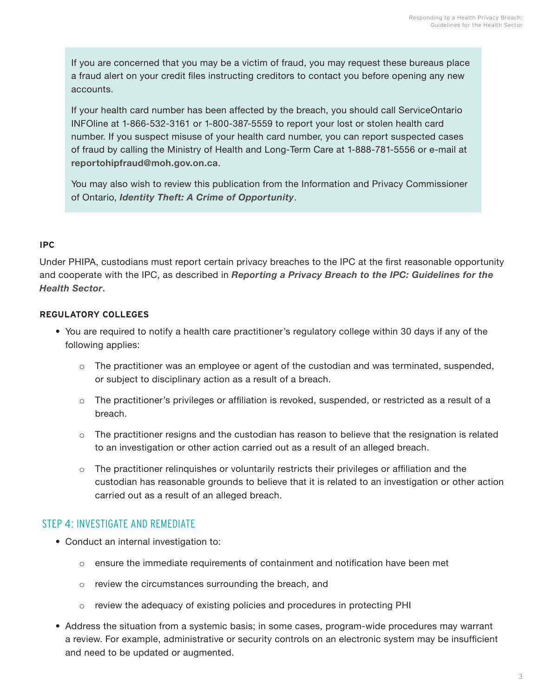<span id="page-6-0"></span>If you are concerned that you may be a victim of fraud, you may request these bureaus place a fraud alert on your credit files instructing creditors to contact you before opening any new accounts.

If your health card number has been affected by the breach, you should call ServiceOntario INFOline at 1-866-532-3161 or 1-800-387-5559 to report your lost or stolen health card number. If you suspect misuse of your health card number, you can report suspected cases of fraud by calling the Ministry of Health and Long-Term Care at 1-888-781-5556 or e-mail at **[reportohipfraud@moh.gov.on.ca](mailto:reportohipfraud@moh.gov.on.ca)**.

You may also wish to review this publication from the Information and Privacy Commissioner of Ontario, *[Identity Theft: A Crime of Opportunity](https://www.ipc.on.ca/wp-content/uploads/Resources/id-theft-e.pdf)*.

#### **IPC**

Under PHIPA, custodians must report certain privacy breaches to the IPC at the first reasonable opportunity and cooperate with the IPC, as described in *[Reporting a Privacy Breach to the IPC: Guidelines for the](https://www.ipc.on.ca/wp-content/uploads/2019/09/2019-health-privacy-breach-notification-guidelines.pdf)  [Health Sector](https://www.ipc.on.ca/wp-content/uploads/2019/09/2019-health-privacy-breach-notification-guidelines.pdf)*.

#### **REGULATORY COLLEGES**

- You are required to notify a health care practitioner's regulatory college within 30 days if any of the following applies:
	- $\circ$  The practitioner was an employee or agent of the custodian and was terminated, suspended, or subject to disciplinary action as a result of a breach.
	- $\circ$  The practitioner's privileges or affiliation is revoked, suspended, or restricted as a result of a breach.
	- $\circ$  The practitioner resigns and the custodian has reason to believe that the resignation is related to an investigation or other action carried out as a result of an alleged breach.
	- o The practitioner relinquishes or voluntarily restricts their privileges or affiliation and the custodian has reasonable grounds to believe that it is related to an investigation or other action carried out as a result of an alleged breach.

#### STEP 4: INVESTIGATE AND REMEDIATE

- Conduct an internal investigation to:
	- $\circ$  ensure the immediate requirements of containment and notification have been met
	- o review the circumstances surrounding the breach, and
	- $\circ$  review the adequacy of existing policies and procedures in protecting PHI
- Address the situation from a systemic basis; in some cases, program-wide procedures may warrant a review. For example, administrative or security controls on an electronic system may be insufficient and need to be updated or augmented.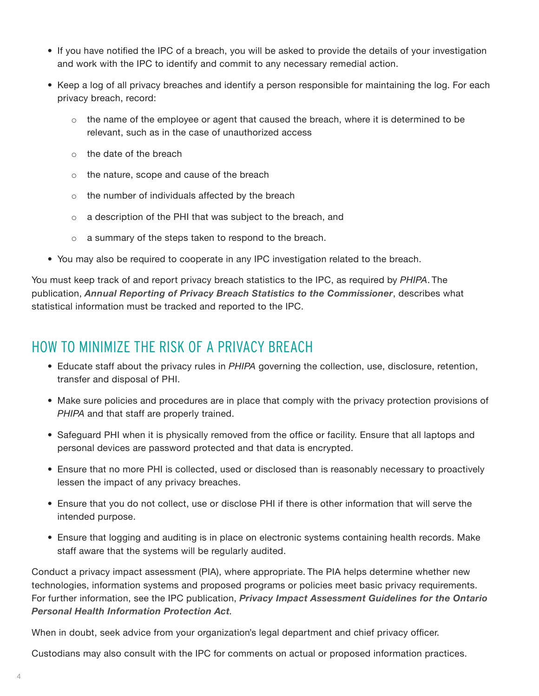- <span id="page-7-0"></span>• If you have notified the IPC of a breach, you will be asked to provide the details of your investigation and work with the IPC to identify and commit to any necessary remedial action.
- Keep a log of all privacy breaches and identify a person responsible for maintaining the log. For each privacy breach, record:
	- $\circ$  the name of the employee or agent that caused the breach, where it is determined to be relevant, such as in the case of unauthorized access
	- $\circ$  the date of the breach
	- o the nature, scope and cause of the breach
	- o the number of individuals affected by the breach
	- o a description of the PHI that was subject to the breach, and
	- a summary of the steps taken to respond to the breach.
- You may also be required to cooperate in any IPC investigation related to the breach.

You must keep track of and report privacy breach statistics to the IPC, as required by *PHIPA*. The publication, *[Annual Reporting of Privacy Breach Statistics to the Commissioner](https://www.ipc.on.ca/wp-content/uploads/2017/11/annual-breach-statistics-rptg-2.pdf)*, describes what statistical information must be tracked and reported to the IPC.

### HOW TO MINIMIZE THE RISK OF A PRIVACY BREACH

- Educate staff about the privacy rules in *PHIPA* governing the collection, use, disclosure, retention, transfer and disposal of PHI.
- Make sure policies and procedures are in place that comply with the privacy protection provisions of *PHIPA* and that staff are properly trained.
- Safeguard PHI when it is physically removed from the office or facility. Ensure that all laptops and personal devices are password protected and that data is encrypted.
- Ensure that no more PHI is collected, used or disclosed than is reasonably necessary to proactively lessen the impact of any privacy breaches.
- Ensure that you do not collect, use or disclose PHI if there is other information that will serve the intended purpose.
- Ensure that logging and auditing is in place on electronic systems containing health records. Make staff aware that the systems will be regularly audited.

Conduct a privacy impact assessment (PIA), where appropriate. The PIA helps determine whether new technologies, information systems and proposed programs or policies meet basic privacy requirements. For further information, see the IPC publication, *[Privacy Impact Assessment Guidelines for the Ontario](https://www.ipc.on.ca/wp-content/uploads/Resources/phipa_pia-e.pdf)  [Personal Health Information Protection Act](https://www.ipc.on.ca/wp-content/uploads/Resources/phipa_pia-e.pdf).*

When in doubt, seek advice from your organization's legal department and chief privacy officer.

Custodians may also consult with the IPC for comments on actual or proposed information practices.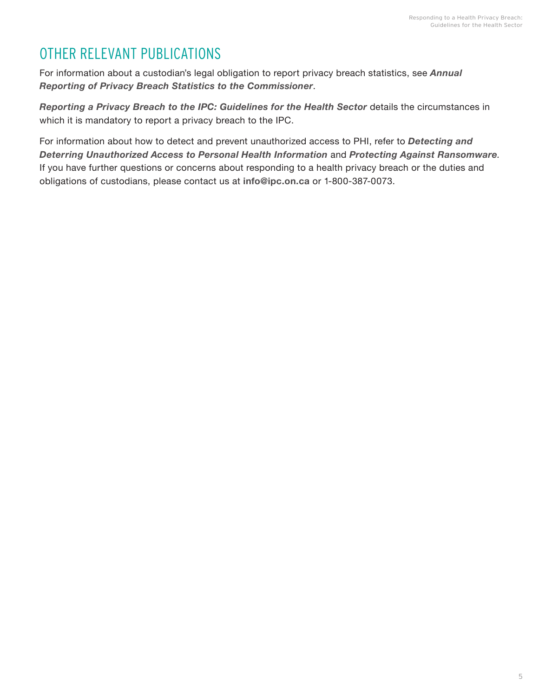## <span id="page-8-0"></span>OTHER RELEVANT PUBLICATIONS

For information about a custodian's legal obligation to report privacy breach statistics, see *[Annual](https://www.ipc.on.ca/wp-content/uploads/2017/11/annual-breach-statistics-rptg.pdf)  [Reporting of Privacy Breach Statistics to the Commissioner](https://www.ipc.on.ca/wp-content/uploads/2017/11/annual-breach-statistics-rptg.pdf)*.

*[Reporting a Privacy Breach to the IPC: Guidelines for the Health Sector](https://www.ipc.on.ca/wp-content/uploads/2019/09/2019-health-privacy-breach-notification-guidelines.pdf)* details the circumstances in which it is mandatory to report a privacy breach to the IPC.

For information about how to detect and prevent unauthorized access to PHI, refer to *[Detecting and](https://www.ipc.on.ca/wp-content/uploads/Resources/Detect_Deter.pdf)  [Deterring Unauthorized Access to Personal Health Information](https://www.ipc.on.ca/wp-content/uploads/Resources/Detect_Deter.pdf)* and *[Protecting Against Ransomware](https://www.ipc.on.ca/wp-content/uploads/2016/08/2016-07-07-1678_Ransomware_fact_sheet.pdf).* If you have further questions or concerns about responding to a health privacy breach or the duties and obligations of custodians, please contact us at **[info@ipc.on.ca](mailto:mailto:info%40ipc.on.ca?subject=)** or 1-800-387-0073.